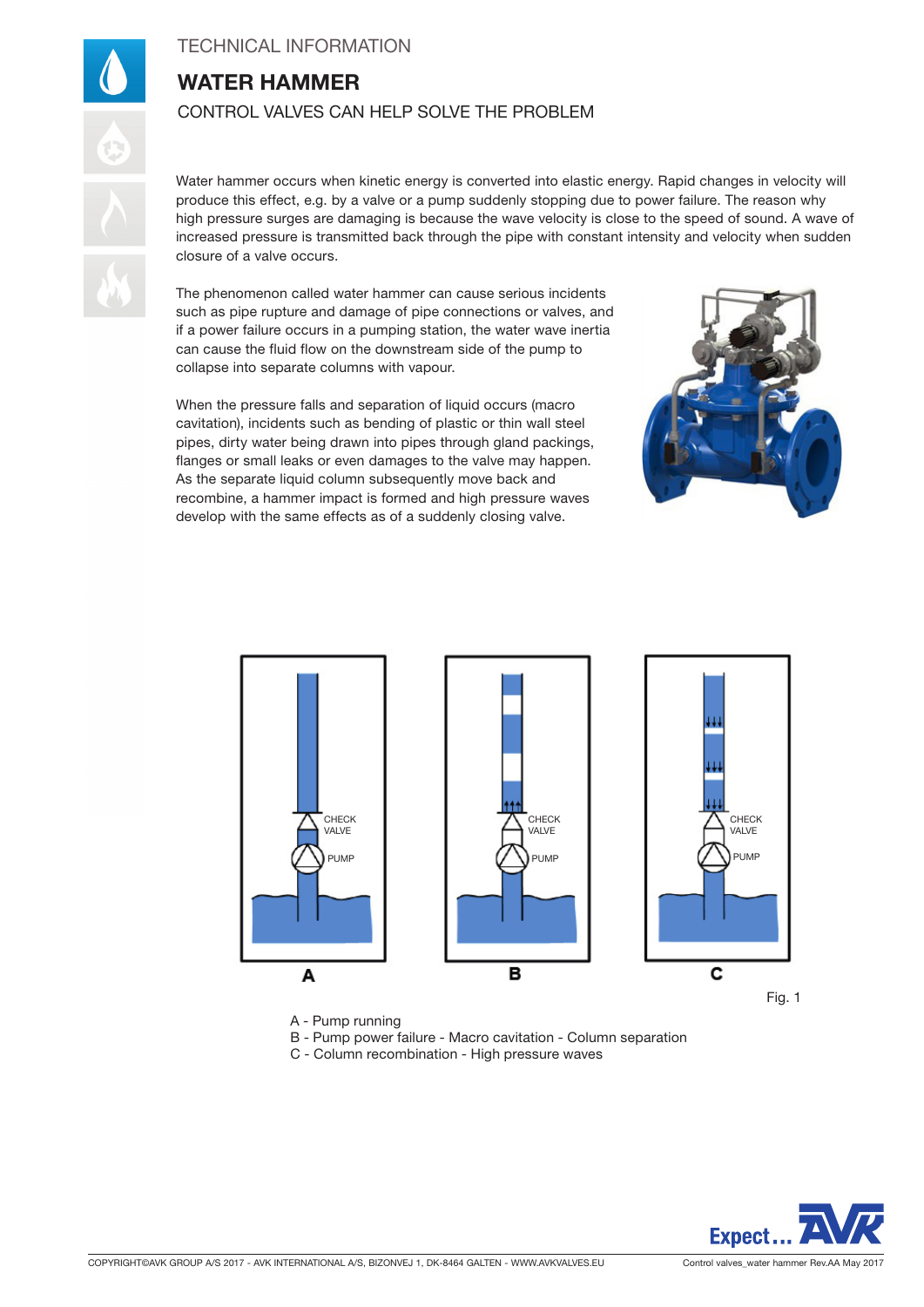## TECHNICAL INFORMATION

# WATER HAMMER CONTROL VALVES CAN HELP SOLVE THE PROBLEM

Water hammer occurs when kinetic energy is converted into elastic energy. Rapid changes in velocity will produce this effect, e.g. by a valve or a pump suddenly stopping due to power failure. The reason why high pressure surges are damaging is because the wave velocity is close to the speed of sound. A wave of increased pressure is transmitted back through the pipe with constant intensity and velocity when sudden closure of a valve occurs.

The phenomenon called water hammer can cause serious incidents such as pipe rupture and damage of pipe connections or valves, and if a power failure occurs in a pumping station, the water wave inertia can cause the fluid flow on the downstream side of the pump to collapse into separate columns with vapour.

When the pressure falls and separation of liquid occurs (macro cavitation), incidents such as bending of plastic or thin wall steel pipes, dirty water being drawn into pipes through gland packings, flanges or small leaks or even damages to the valve may happen. As the separate liquid column subsequently move back and recombine, a hammer impact is formed and high pressure waves develop with the same effects as of a suddenly closing valve.





A - Pump running

B - Pump power failure - Macro cavitation - Column separation

C - Column recombination - High pressure waves

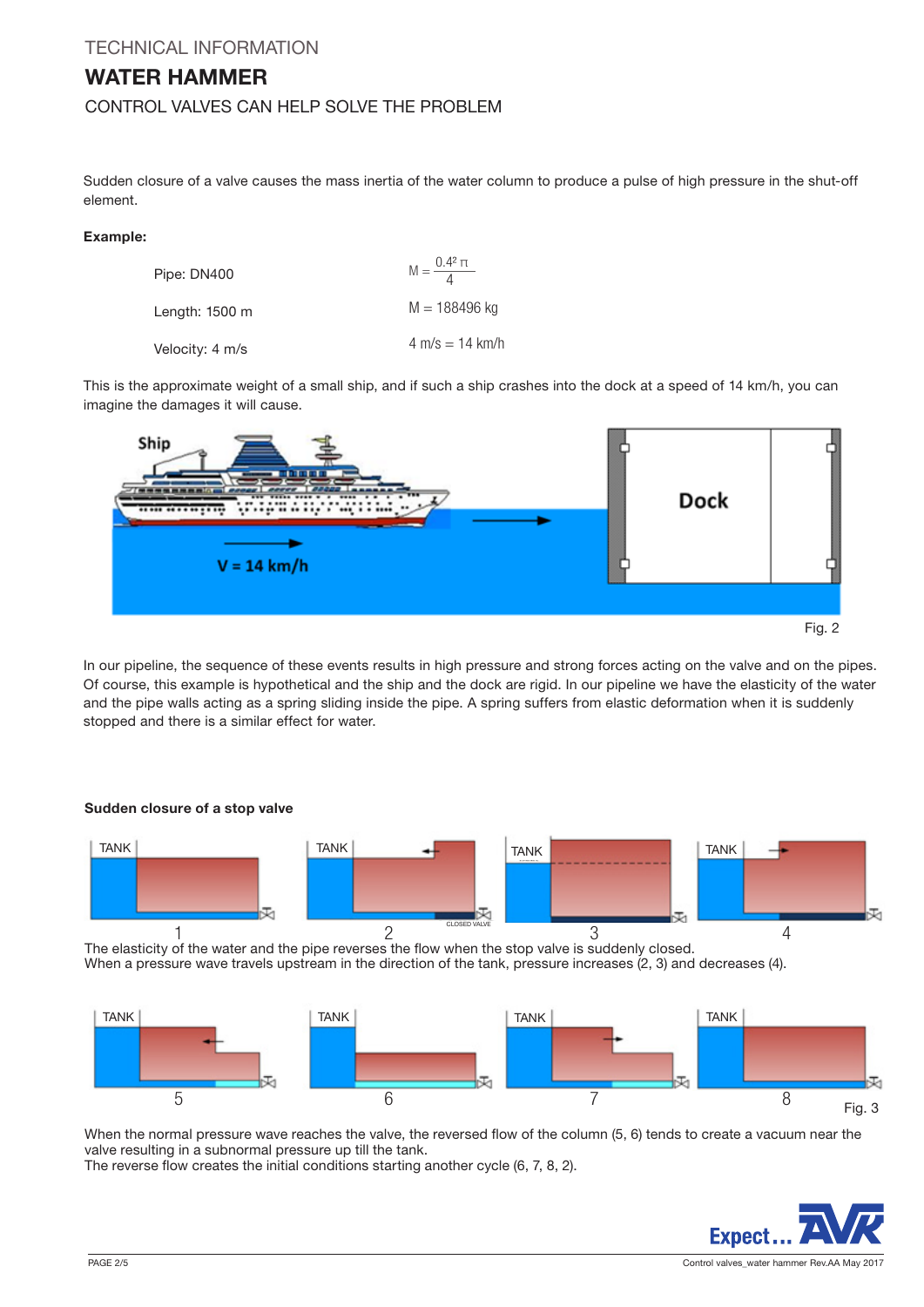## WATER HAMMER

## CONTROL VALVES CAN HELP SOLVE THE PROBLEM

Sudden closure of a valve causes the mass inertia of the water column to produce a pulse of high pressure in the shut-off element.

### Example:

| Pipe: DN400              | $M = \frac{0.4^2 \pi}{4}$         |
|--------------------------|-----------------------------------|
| Length: $1500 \text{ m}$ | $M = 188496$ kg                   |
| Velocity: 4 m/s          | $4 \text{ m/s} = 14 \text{ km/h}$ |

This is the approximate weight of a small ship, and if such a ship crashes into the dock at a speed of 14 km/h, you can imagine the damages it will cause.



In our pipeline, the sequence of these events results in high pressure and strong forces acting on the valve and on the pipes. Of course, this example is hypothetical and the ship and the dock are rigid. In our pipeline we have the elasticity of the water and the pipe walls acting as a spring sliding inside the pipe. A spring suffers from elastic deformation when it is suddenly stopped and there is a similar effect for water.



Sudden closure of a stop valve

The elasticity of the water and the pipe reverses the flow when the stop valve is suddenly closed. When a pressure wave travels upstream in the direction of the tank, pressure increases (2, 3) and decreases (4).



When the normal pressure wave reaches the valve, the reversed flow of the column (5, 6) tends to create a vacuum near the valve resulting in a subnormal pressure up till the tank.

The reverse flow creates the initial conditions starting another cycle (6, 7, 8, 2).

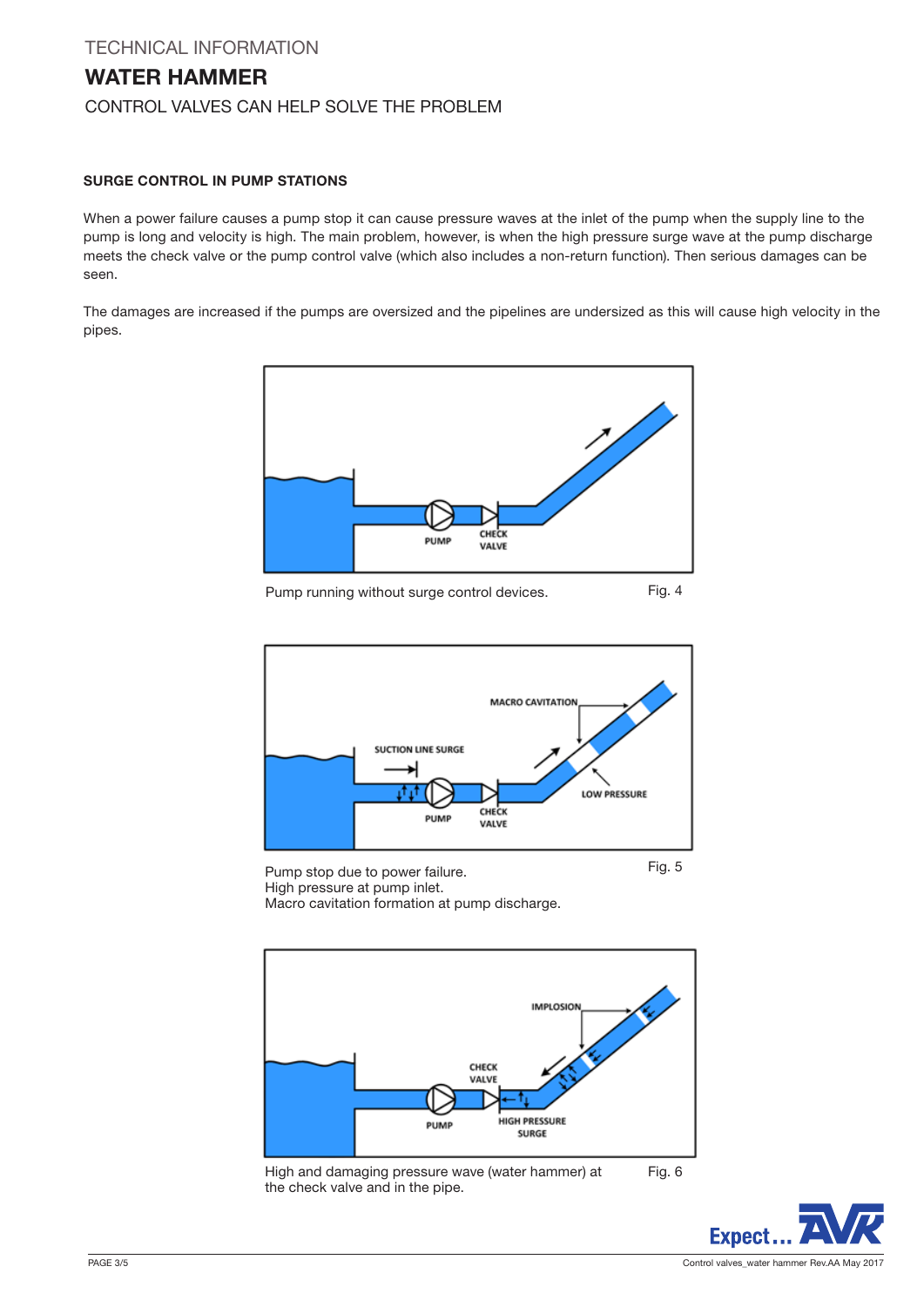## TECHNICAL INFORMATION WATER HAMMER CONTROL VALVES CAN HELP SOLVE THE PROBLEM

### SURGE CONTROL IN PUMP STATIONS

When a power failure causes a pump stop it can cause pressure waves at the inlet of the pump when the supply line to the pump is long and velocity is high. The main problem, however, is when the high pressure surge wave at the pump discharge meets the check valve or the pump control valve (which also includes a non-return function). Then serious damages can be seen.

The damages are increased if the pumps are oversized and the pipelines are undersized as this will cause high velocity in the pipes.



Pump running without surge control devices. Fig. 4



Pump stop due to power failure. High pressure at pump inlet. Macro cavitation formation at pump discharge. Fig. 5



High and damaging pressure wave (water hammer) at the check valve and in the pipe.

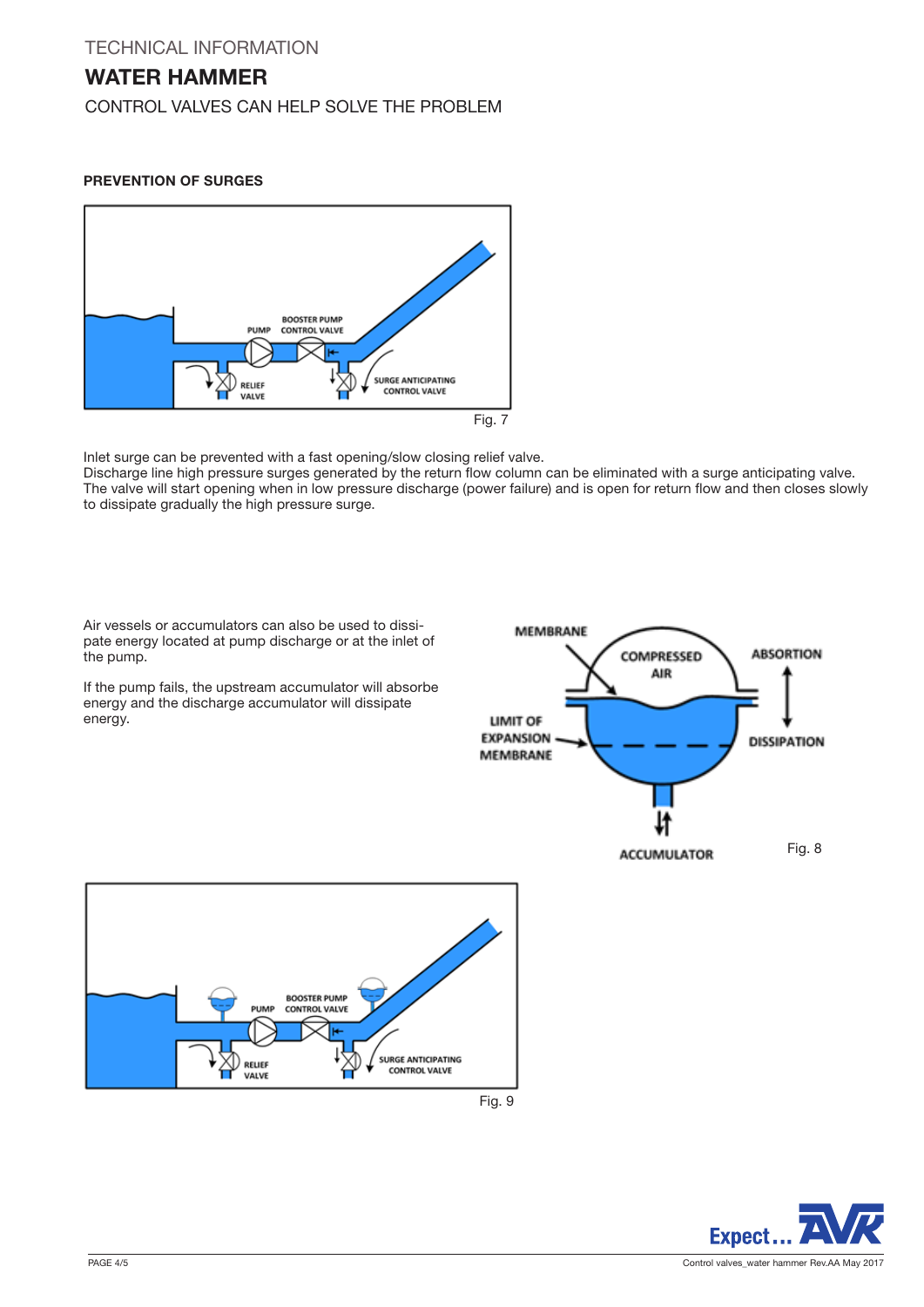## WATER HAMMER

CONTROL VALVES CAN HELP SOLVE THE PROBLEM

## PREVENTION OF SURGES



Inlet surge can be prevented with a fast opening/slow closing relief valve.

Discharge line high pressure surges generated by the return flow column can be eliminated with a surge anticipating valve. The valve will start opening when in low pressure discharge (power failure) and is open for return flow and then closes slowly to dissipate gradually the high pressure surge.

Air vessels or accumulators can also be used to dissipate energy located at pump discharge or at the inlet of the pump.

If the pump fails, the upstream accumulator will absorbe energy and the discharge accumulator will dissipate energy.